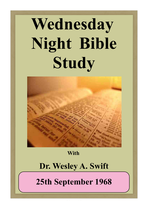# **Wednesday Night Bible Study**



**With**

#### **Dr. Wesley A. Swift**

**25th September 1968**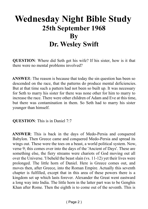### **Wednesday Night Bible Study 25th September 1968 By Dr. Wesley Swift**

**QUESTION**: Where did Seth get his wife? If his sister, how is it that there were no mental problems involved?

**ANSWE**R: The reason is because that today the sin question has been so descended on the race, that the patterns do produce mental deficiencies. But at that time such a pattern had not been so built up. It was necessary for Seth to marry his sister for there was none other for him to marry to increase the race. There were other children of Adam and Eve at this time, but there was contamination in them. So Seth had to marry his sister younger than himself.

**QUESTION**: This is in Daniel 7:7

**ANSWER**: This is back in the days of Medo-Persia and conquered Babylon. Then Greece came and conquered Medo-Persia and spread its wings out. These were the toes on a beast, a world political system. Now, verse 9; this comes over into the days of the 'Ancient of Days'. These are something else, the fiery streams were chariots of God moving out all over the Universe. 'I beheld the beast slain (vs. 11-12) yet their lives were prolonged. The little horn of Daniel. Here is Greece comes out, and moves then, after Greece, into the Roman Empire. Actually this seventh chapter is fulfilled, except that in this area of these powers there is a kingdom set up which lasts forever. Alexander the Great went eastward a long way into India. The little horn in the latter part was to be Genghis Khan after Rome. Then the eighth is to come out of the seventh. This is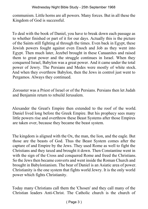communism. Little horns are all powers. Many forces. But in all these the Kingdom of God is successful.

To deal with the book of Daniel, you have to break down each passage as to whether finished or part of it for our days. Actually this is the picture of the Saints still fighting al through the times. Even back in Egypt, these Jewish powers fought against even Enoch and Job as they went into Egypt. Then much later, Jezebel brought in these Canaanites and raised them to great power and the struggle continues in Israel. When they conquered Israel, Babylon was a great power. And it came under the total power of Jewry. The Persians and Medes were mostly of white stock. And when they overthrew Babylon, then the Jews in control just went to Pergamos. Always they continued.

Zoroaster was a Priest of Israel or of the Persians. Persians then let Judah and Benjamin return to rebuild Jerusalem.

Alexander the Great's Empire then extended to the roof of the world. Daniel lived long before the Greek Empire. But his prophecy sees many little powers rise and overthrow these Beast Systems after those Empires are taken over, because they became the beast system.

The kingdom is aligned with the Ox, the man, the lion, and the eagle. But those are the beasts of God. Thus the Beast System comes after the capture of and Empire by the Jews. They used Rome as well to fight the Christians and they taxed and brought it down. Then Constantine went in with the sign of the Cross and conquered Rome and freed the Christians. So the Jews then became converts and went inside the Roman Church and brought in Babylonianism. The bear of Daniel is an Asiatic area of power. Christianity is the one system that fights world Jewry. It is the only world power which fights Christianity.

Today many Christians call them the 'Chosen' and they call many of the Christian leaders Anti-Christ. The Catholic church is the church of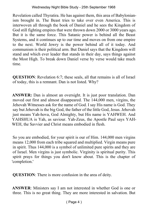Revelation called Thyratira. He has against them, this area of Babylonianism brought in. The Beast tries to take over even America. This is interwoven all through the book of Daniel and he sees the Kingdom of God still fighting empires that were thrown down 2000 or 3000 years ago. But it is the same force. This Satanic power is behind all the Beast Systems, and it continues up to our time and moves on from one empire to the next. World Jewry is the power behind all of it today. And communism is their political arm. But Daniel says that the Kingdom will stand and which ever leader that stands in their day, says things against the Most High. To break down Daniel verse by verse would take much time.

**QUESTION**: Revelation 6:7; these seals, all that remains is all of Israel of today, this is a remnant. Dan is not listed. Why?

**ANSWER:** Dan is almost an oversight. It is just poor translation. Dan moved out first and almost disappeared. The 144,000 men, virgins, the Jehovah Witnesses ask for the name of God. I say His name is God. They say but Jehovah is the big God, the father of the little God, Jesus. Jehovah just means Yah-hova, God Almighty, but His name is YAHWEH. And YAHSHUA is Yah, as saviour. Yah-Zeus, the Apostle Paul says YAH-WEH, the Savvier and Christ means embodied in flesh.

So you are embodied, for your spirit is our of Him. 144,000 men virgins means 12,000 from each tribe squared and multiplied. Virgin means pure in spirit. Thus 144,000 is a symbol of unlimited pure spirits and they are of Israel. Men virgins is just symbolic. Virginity is spiritual purity. This spirit prays for things you don't know about. This is the chapter of 'completion.'

**QUESTION**: There is more confusion in the area of deity.

**ANSWER**: Ministers say I am not interested in whether God is one or three. This is no great thing. They are more interested in salvation. But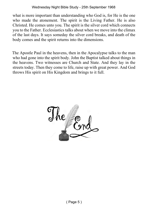what is more important than understanding who God is, for He is the one who made the atonement. The spirit is the Living Father. He is also Christed. He comes unto you. The spirit is the silver cord which connects you to the Father. Ecclesiastics talks about when we move into the climax of the last days. It says someday the silver cord breaks, and death of the body comes and the spirit returns into the dimensions.

The Apostle Paul in the heavens, then in the Apocalypse talks to the man who had gone into the spirit body. John the Baptist talked about things in the heavens. Two witnesses are Church and State. And they lay in the streets today. Then they come to life, raise up with great power. And God throws His spirit on His Kingdom and brings to it full.

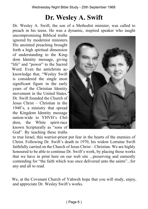#### **Dr. Wesley A. Swift**

Dr. Wesley A. Swift, the son of a Methodist minister, was called to preach in his teens. He was a dynamic, inspired speaker who taught

uncompromising Biblical truths ignored by modernist ministers. His anointed preaching brought forth a high spiritual dimension of understanding to the Kingdom Identity message, giving "life" and "power" to the Sacred Word. Even the antichrists acknowledge that, "Wesley Swift is considered the single most significant figure in the early years of the Christian Identity movement in the United States." Dr. Swift founded the Church of Jesus Christ – Christian in the 1940's, a ministry that spread the Kingdom Identity message nation-wide to YHVH's Children, the White spirit-race known Scripturally as "sons of God". By teaching these truths



to true Israel, this warrior-priest put fear in the hearts of the enemies of Christ. Following Dr. Swift's death in 1970, his widow Lorraine Swift faithfully carried on the Church of Jesus Christ – Christian. We are highly honoured to be able to continue Dr. Swift's work, by placing those works that we have in print here on our web site ...preserving and earnestly contending for "the faith which was once delivered unto the saints"...for any and all to read.

We, at the Covenant Church of Yahweh hope that you will study, enjoy, and appreciate Dr. Wesley Swift's works.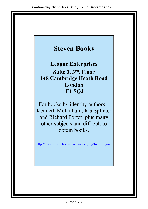